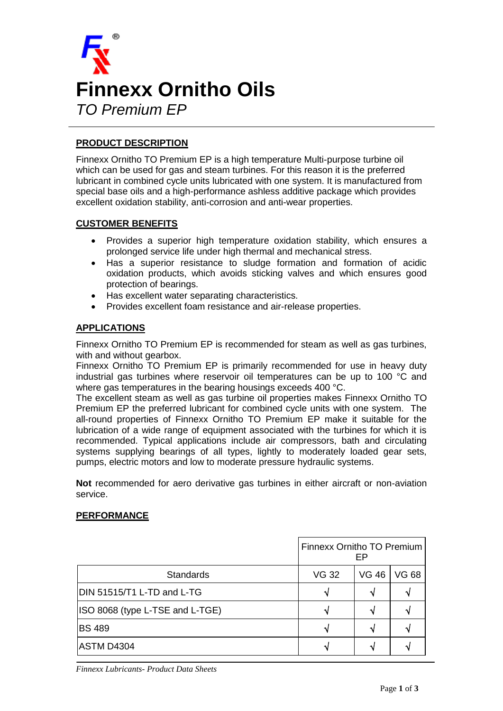

# **PRODUCT DESCRIPTION**

Finnexx Ornitho TO Premium EP is a high temperature Multi-purpose turbine oil which can be used for gas and steam turbines. For this reason it is the preferred lubricant in combined cycle units lubricated with one system. It is manufactured from special base oils and a high-performance ashless additive package which provides excellent oxidation stability, anti-corrosion and anti-wear properties.

## **CUSTOMER BENEFITS**

- Provides a superior high temperature oxidation stability, which ensures a prolonged service life under high thermal and mechanical stress.
- Has a superior resistance to sludge formation and formation of acidic oxidation products, which avoids sticking valves and which ensures good protection of bearings.
- Has excellent water separating characteristics.
- Provides excellent foam resistance and air-release properties.

## **APPLICATIONS**

Finnexx Ornitho TO Premium EP is recommended for steam as well as gas turbines, with and without gearbox.

Finnexx Ornitho TO Premium EP is primarily recommended for use in heavy duty industrial gas turbines where reservoir oil temperatures can be up to 100 °C and where gas temperatures in the bearing housings exceeds 400 °C.

The excellent steam as well as gas turbine oil properties makes Finnexx Ornitho TO Premium EP the preferred lubricant for combined cycle units with one system. The all-round properties of Finnexx Ornitho TO Premium EP make it suitable for the lubrication of a wide range of equipment associated with the turbines for which it is recommended. Typical applications include air compressors, bath and circulating systems supplying bearings of all types, lightly to moderately loaded gear sets, pumps, electric motors and low to moderate pressure hydraulic systems.

**Not** recommended for aero derivative gas turbines in either aircraft or non-aviation service.

#### **PERFORMANCE**

|                                 | Finnexx Ornitho TO Premium<br>FP |              |       |  |
|---------------------------------|----------------------------------|--------------|-------|--|
| <b>Standards</b>                | <b>VG 32</b>                     | <b>VG 46</b> | VG 68 |  |
| DIN 51515/T1 L-TD and L-TG      |                                  |              |       |  |
| ISO 8068 (type L-TSE and L-TGE) |                                  |              |       |  |
| <b>BS 489</b>                   |                                  |              |       |  |
| <b>ASTM D4304</b>               |                                  |              |       |  |

*Finnexx Lubricants- Product Data Sheets*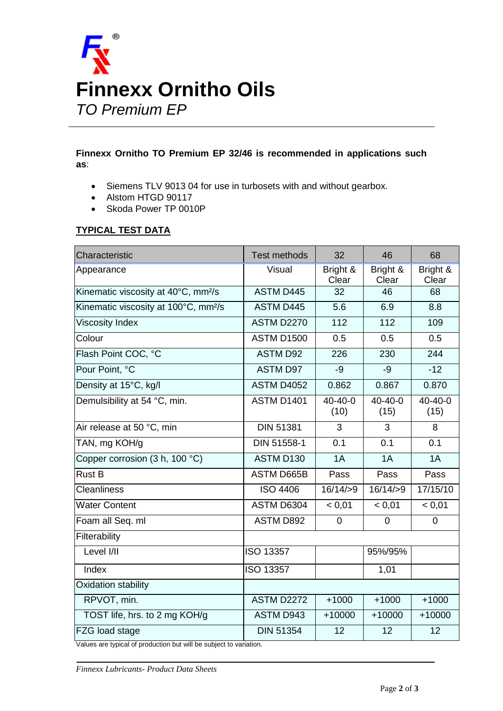

## **Finnexx Ornitho TO Premium EP 32/46 is recommended in applications such as**:

- Siemens TLV 9013 04 for use in turbosets with and without gearbox.
- Alstom HTGD 90117
- Skoda Power TP 0010P

## **TYPICAL TEST DATA**

| Characteristic                                                                                                                                                                                                                                   | <b>Test methods</b> | 32                    | 46                    | 68                    |  |
|--------------------------------------------------------------------------------------------------------------------------------------------------------------------------------------------------------------------------------------------------|---------------------|-----------------------|-----------------------|-----------------------|--|
| Appearance                                                                                                                                                                                                                                       | Visual              | Bright &<br>Clear     | Bright &<br>Clear     | Bright &<br>Clear     |  |
| Kinematic viscosity at 40°C, mm <sup>2</sup> /s                                                                                                                                                                                                  | <b>ASTM D445</b>    | 32                    | 46                    | 68                    |  |
| Kinematic viscosity at 100°C, mm <sup>2</sup> /s                                                                                                                                                                                                 | <b>ASTM D445</b>    | 5.6                   | 6.9                   | 8.8                   |  |
| <b>Viscosity Index</b>                                                                                                                                                                                                                           | <b>ASTM D2270</b>   | 112                   | 112                   | 109                   |  |
| Colour                                                                                                                                                                                                                                           | <b>ASTM D1500</b>   | 0.5                   | 0.5                   | 0.5                   |  |
| Flash Point COC, °C                                                                                                                                                                                                                              | <b>ASTM D92</b>     | 226                   | 230                   | 244                   |  |
| Pour Point, °C                                                                                                                                                                                                                                   | <b>ASTM D97</b>     | $-9$                  | $-9$                  | $-12$                 |  |
| Density at 15°C, kg/l                                                                                                                                                                                                                            | <b>ASTM D4052</b>   | 0.862                 | 0.867                 | 0.870                 |  |
| Demulsibility at 54 °C, min.                                                                                                                                                                                                                     | <b>ASTM D1401</b>   | $40 - 40 - 0$<br>(10) | $40 - 40 - 0$<br>(15) | $40 - 40 - 0$<br>(15) |  |
| Air release at 50 °C, min                                                                                                                                                                                                                        | <b>DIN 51381</b>    | 3                     | 3                     | 8                     |  |
| TAN, mg KOH/g                                                                                                                                                                                                                                    | DIN 51558-1         | 0.1                   | 0.1                   | 0.1                   |  |
| Copper corrosion (3 h, 100 °C)                                                                                                                                                                                                                   | ASTM D130           | 1A                    | 1A                    | 1A                    |  |
| <b>Rust B</b>                                                                                                                                                                                                                                    | <b>ASTM D665B</b>   | Pass                  | Pass                  | Pass                  |  |
| <b>Cleanliness</b>                                                                                                                                                                                                                               | <b>ISO 4406</b>     | 16/14/9               | 16/14/9               | 17/15/10              |  |
| <b>Water Content</b>                                                                                                                                                                                                                             | ASTM D6304          | < 0.01                | < 0.01                | < 0.01                |  |
| Foam all Seq. ml                                                                                                                                                                                                                                 | ASTM D892           | $\mathbf 0$           | $\mathbf{0}$          | $\overline{0}$        |  |
| Filterability                                                                                                                                                                                                                                    |                     |                       |                       |                       |  |
| Level I/II                                                                                                                                                                                                                                       | <b>ISO 13357</b>    |                       | 95%/95%               |                       |  |
| Index                                                                                                                                                                                                                                            | ISO 13357           |                       | 1,01                  |                       |  |
| Oxidation stability                                                                                                                                                                                                                              |                     |                       |                       |                       |  |
| RPVOT, min.                                                                                                                                                                                                                                      | <b>ASTM D2272</b>   | $+1000$               | $+1000$               | $+1000$               |  |
| TOST life, hrs. to 2 mg KOH/g                                                                                                                                                                                                                    | <b>ASTM D943</b>    | $+10000$              | $+10000$              | $+10000$              |  |
| FZG load stage<br>a tha chill and can also an according to the contribution of the contribution of the contribution of the contribution of the contribution of the contribution of the contribution of the contribution of the contribution of t | <b>DIN 51354</b>    | 12                    | 12                    | 12                    |  |

Values are typical of production but will be subject to variation.

*Finnexx Lubricants- Product Data Sheets*